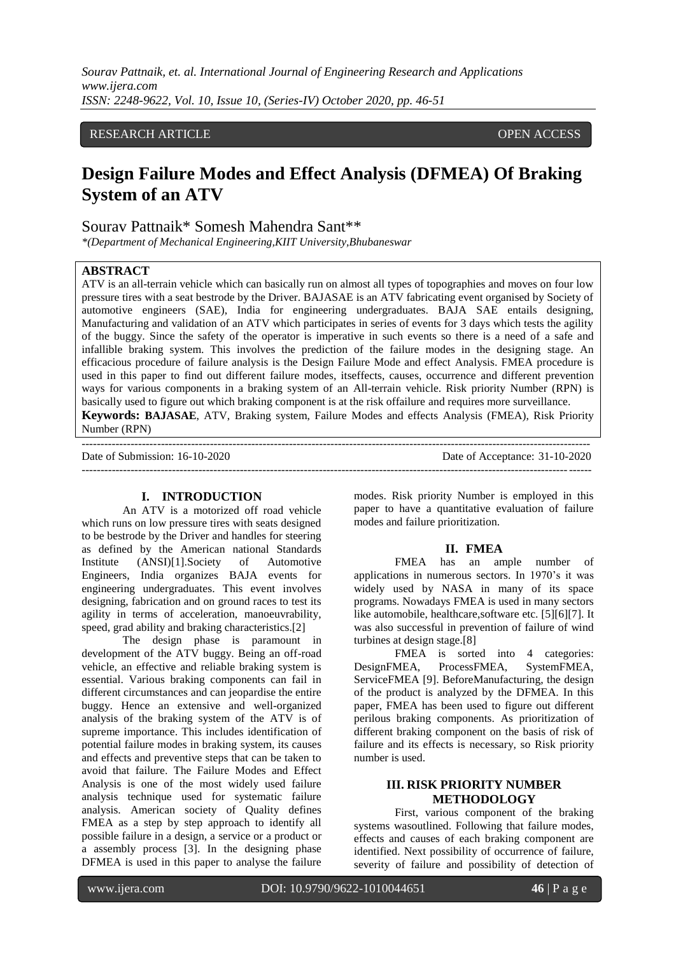## RESEARCH ARTICLE **CONSERVERS** OPEN ACCESS

# **Design Failure Modes and Effect Analysis (DFMEA) Of Braking System of an ATV**

## Sourav Pattnaik\* Somesh Mahendra Sant\*\*

*\*(Department of Mechanical Engineering,KIIT University,Bhubaneswar*

#### **ABSTRACT**

ATV is an all-terrain vehicle which can basically run on almost all types of topographies and moves on four low pressure tires with a seat bestrode by the Driver. BAJASAE is an ATV fabricating event organised by Society of automotive engineers (SAE), India for engineering undergraduates. BAJA SAE entails designing, Manufacturing and validation of an ATV which participates in series of events for 3 days which tests the agility of the buggy. Since the safety of the operator is imperative in such events so there is a need of a safe and infallible braking system. This involves the prediction of the failure modes in the designing stage. An efficacious procedure of failure analysis is the Design Failure Mode and effect Analysis. FMEA procedure is used in this paper to find out different failure modes, itseffects, causes, occurrence and different prevention ways for various components in a braking system of an All-terrain vehicle. Risk priority Number (RPN) is basically used to figure out which braking component is at the risk offailure and requires more surveillance. **Keywords: BAJASAE**, ATV, Braking system, Failure Modes and effects Analysis (FMEA), Risk Priority Number (RPN)

--------------------------------------------------------------------------------------------------------------------------------------- Date of Submission: 16-10-2020 Date of Acceptance: 31-10-2020  $-1\leq i\leq n-1\leq n-1\leq n-1\leq n-1\leq n-1\leq n-1\leq n-1\leq n-1\leq n-1\leq n-1\leq n-1\leq n-1\leq n-1\leq n-1\leq n-1\leq n-1\leq n-1\leq n-1\leq n-1\leq n-1\leq n-1\leq n-1\leq n-1\leq n-1\leq n-1\leq n-1\leq n-1\leq n-1\leq n-1\leq n-1\leq n-1\leq n-1\leq n-1\leq n-1\leq n-1\leq n$ 

#### **I. INTRODUCTION**

An ATV is a motorized off road vehicle which runs on low pressure tires with seats designed to be bestrode by the Driver and handles for steering as defined by the American national Standards Institute (ANSI)[1].Society of Automotive Engineers, India organizes BAJA events for engineering undergraduates. This event involves designing, fabrication and on ground races to test its agility in terms of acceleration, manoeuvrability, speed, grad ability and braking characteristics.[2]

The design phase is paramount in development of the ATV buggy. Being an off-road vehicle, an effective and reliable braking system is essential. Various braking components can fail in different circumstances and can jeopardise the entire buggy. Hence an extensive and well-organized analysis of the braking system of the ATV is of supreme importance. This includes identification of potential failure modes in braking system, its causes and effects and preventive steps that can be taken to avoid that failure. The Failure Modes and Effect Analysis is one of the most widely used failure analysis technique used for systematic failure analysis. American society of Quality defines FMEA as a step by step approach to identify all possible failure in a design, a service or a product or a assembly process [3]. In the designing phase DFMEA is used in this paper to analyse the failure modes. Risk priority Number is employed in this paper to have a quantitative evaluation of failure modes and failure prioritization.

#### **II. FMEA**

FMEA has an ample number of applications in numerous sectors. In 1970's it was widely used by NASA in many of its space programs. Nowadays FMEA is used in many sectors like automobile, healthcare,software etc. [5][6][7]. It was also successful in prevention of failure of wind turbines at design stage.[8]

FMEA is sorted into 4 categories: DesignFMEA, ProcessFMEA, SystemFMEA, ServiceFMEA [9]. BeforeManufacturing, the design of the product is analyzed by the DFMEA. In this paper, FMEA has been used to figure out different perilous braking components. As prioritization of different braking component on the basis of risk of failure and its effects is necessary, so Risk priority number is used.

# **III. RISK PRIORITY NUMBER METHODOLOGY**

First, various component of the braking systems wasoutlined. Following that failure modes, effects and causes of each braking component are identified. Next possibility of occurrence of failure, severity of failure and possibility of detection of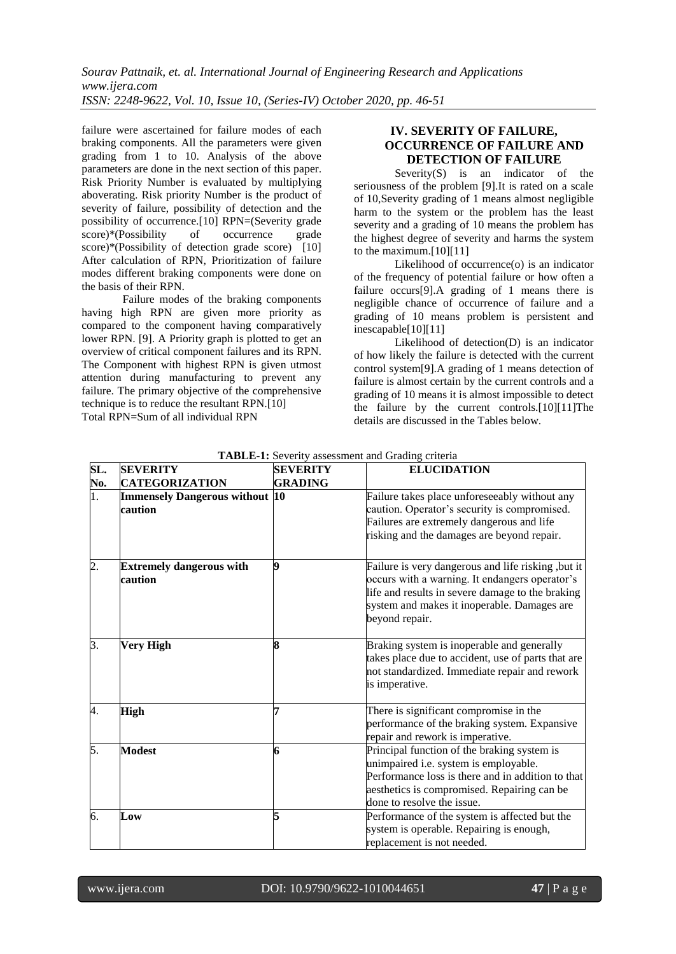failure were ascertained for failure modes of each braking components. All the parameters were given grading from 1 to 10. Analysis of the above parameters are done in the next section of this paper. Risk Priority Number is evaluated by multiplying aboverating. Risk priority Number is the product of severity of failure, possibility of detection and the possibility of occurrence.[10] RPN=(Severity grade score)\*(Possibility of occurrence grade score)\*(Possibility of detection grade score) [10] After calculation of RPN, Prioritization of failure modes different braking components were done on the basis of their RPN.

Failure modes of the braking components having high RPN are given more priority as compared to the component having comparatively lower RPN. [9]. A Priority graph is plotted to get an overview of critical component failures and its RPN. The Component with highest RPN is given utmost attention during manufacturing to prevent any failure. The primary objective of the comprehensive technique is to reduce the resultant RPN.[10] Total RPN=Sum of all individual RPN

# **IV. SEVERITY OF FAILURE, OCCURRENCE OF FAILURE AND DETECTION OF FAILURE**

Severity $(S)$  is an indicator of the seriousness of the problem [9].It is rated on a scale of 10,Severity grading of 1 means almost negligible harm to the system or the problem has the least severity and a grading of 10 means the problem has the highest degree of severity and harms the system to the maximum.[10][11]

Likelihood of occurrence(o) is an indicator of the frequency of potential failure or how often a failure occurs[9].A grading of 1 means there is negligible chance of occurrence of failure and a grading of 10 means problem is persistent and inescapable[10][11]

Likelihood of detection(D) is an indicator of how likely the failure is detected with the current control system[9].A grading of 1 means detection of failure is almost certain by the current controls and a grading of 10 means it is almost impossible to detect the failure by the current controls.[10][11]The details are discussed in the Tables below.

| SL.              | <b>SEVERITY</b>                                  | SEVERITY       | <b>ELUCIDATION</b>                                                                                                                                                                                                        |
|------------------|--------------------------------------------------|----------------|---------------------------------------------------------------------------------------------------------------------------------------------------------------------------------------------------------------------------|
| No.              | <b>CATEGORIZATION</b>                            | <b>GRADING</b> |                                                                                                                                                                                                                           |
| $\overline{1}$ . | <b>Immensely Dangerous without 10</b><br>caution |                | Failure takes place unforeseeably without any<br>caution. Operator's security is compromised.<br>Failures are extremely dangerous and life<br>risking and the damages are beyond repair.                                  |
| $\overline{2}$ . | <b>Extremely dangerous with</b><br>caution       | 9              | Failure is very dangerous and life risking, but it<br>occurs with a warning. It endangers operator's<br>life and results in severe damage to the braking<br>system and makes it inoperable. Damages are<br>beyond repair. |
| 3.               | <b>Very High</b>                                 | 8              | Braking system is inoperable and generally<br>takes place due to accident, use of parts that are<br>not standardized. Immediate repair and rework<br>is imperative.                                                       |
| 4.               | <b>High</b>                                      | 7              | There is significant compromise in the<br>performance of the braking system. Expansive<br>repair and rework is imperative.                                                                                                |
| 5.               | <b>Modest</b>                                    | 6              | Principal function of the braking system is<br>unimpaired i.e. system is employable.<br>Performance loss is there and in addition to that<br>aesthetics is compromised. Repairing can be<br>done to resolve the issue.    |
| 6.               | Low                                              |                | Performance of the system is affected but the<br>system is operable. Repairing is enough,<br>replacement is not needed.                                                                                                   |

**TABLE-1:** Severity assessment and Grading criteria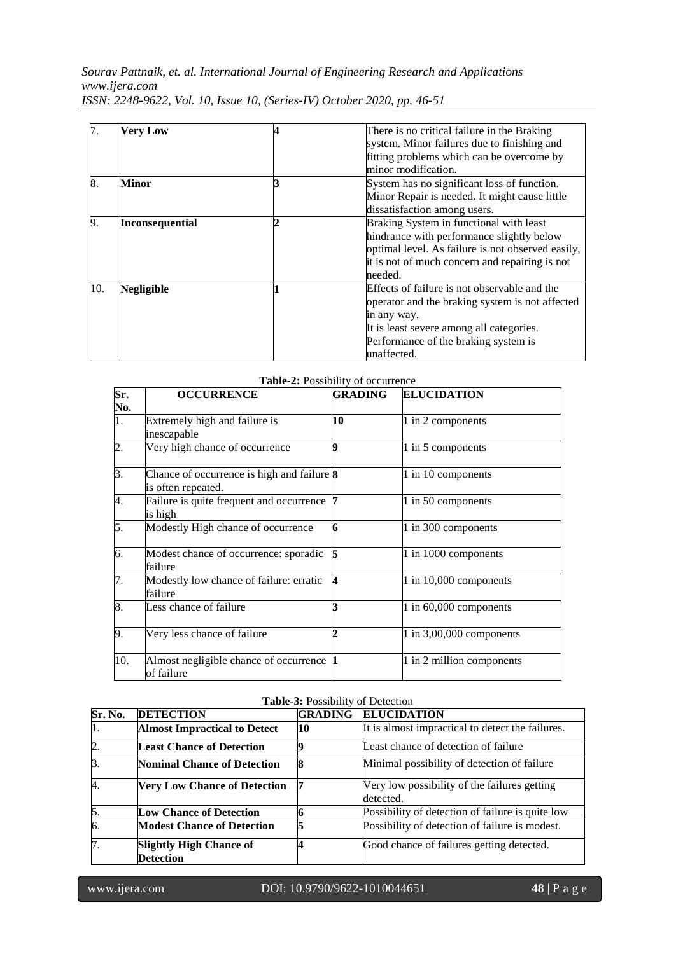| 7.  | <b>Very Low</b>        | There is no critical failure in the Braking       |  |  |  |  |  |
|-----|------------------------|---------------------------------------------------|--|--|--|--|--|
|     |                        | system. Minor failures due to finishing and       |  |  |  |  |  |
|     |                        | fitting problems which can be overcome by         |  |  |  |  |  |
|     |                        | minor modification.                               |  |  |  |  |  |
| 8.  | Minor                  | System has no significant loss of function.       |  |  |  |  |  |
|     |                        | Minor Repair is needed. It might cause little     |  |  |  |  |  |
|     |                        | dissatisfaction among users.                      |  |  |  |  |  |
| 9.  | <b>Inconsequential</b> | Braking System in functional with least           |  |  |  |  |  |
|     |                        | hindrance with performance slightly below         |  |  |  |  |  |
|     |                        | optimal level. As failure is not observed easily, |  |  |  |  |  |
|     |                        | it is not of much concern and repairing is not    |  |  |  |  |  |
|     |                        | needed.                                           |  |  |  |  |  |
| 10. | <b>Negligible</b>      | Effects of failure is not observable and the      |  |  |  |  |  |
|     |                        | operator and the braking system is not affected   |  |  |  |  |  |
|     |                        | in any way.                                       |  |  |  |  |  |
|     |                        | It is least severe among all categories.          |  |  |  |  |  |
|     |                        | Performance of the braking system is              |  |  |  |  |  |
|     |                        | unaffected.                                       |  |  |  |  |  |

| Sr.              | <b>OCCURRENCE</b>                                                | GRADING | <b>ELUCIDATION</b>         |
|------------------|------------------------------------------------------------------|---------|----------------------------|
| No.              |                                                                  |         |                            |
| $\overline{1}$ . | Extremely high and failure is                                    | 10      | 1 in 2 components          |
|                  | inescapable                                                      |         |                            |
| $\overline{2}$ . | Very high chance of occurrence                                   | Q       | 1 in 5 components          |
| 3.               | Chance of occurrence is high and failure 8<br>is often repeated. |         | 1 in 10 components         |
| 4.               | Failure is quite frequent and occurrence 7<br>is high            |         | 1 in 50 components         |
| 5.               | Modestly High chance of occurrence                               | 6       | 1 in 300 components        |
| 6.               | Modest chance of occurrence: sporadic<br>failure                 |         | 1 in 1000 components       |
| 7.               | Modestly low chance of failure: erratic<br>failure               | 4       | 1 in $10,000$ components   |
| 8.               | Less chance of failure                                           |         | 1 in $60,000$ components   |
| 9.               | Very less chance of failure                                      |         | $1$ in 3,00,000 components |
| 10.              | Almost negligible chance of occurrence 1<br>of failure           |         | 1 in 2 million components  |

#### **Table-2:** Possibility of occurrence

# **Table-3:** Possibility of Detection

| Sr. No.          | <b>DETECTION</b>                                   | <b>GRADING</b> | <b>ELUCIDATION</b>                                        |  |  |  |  |
|------------------|----------------------------------------------------|----------------|-----------------------------------------------------------|--|--|--|--|
| 1.               | <b>Almost Impractical to Detect</b>                | 10             | It is almost impractical to detect the failures.          |  |  |  |  |
| 2.               | <b>Least Chance of Detection</b>                   |                | Least chance of detection of failure                      |  |  |  |  |
| $\overline{3}$ . | <b>Nominal Chance of Detection</b>                 |                | Minimal possibility of detection of failure               |  |  |  |  |
| 4.               | <b>Very Low Chance of Detection</b>                |                | Very low possibility of the failures getting<br>detected. |  |  |  |  |
| 5.               | <b>Low Chance of Detection</b>                     |                | Possibility of detection of failure is quite low          |  |  |  |  |
| $\overline{6}$   | <b>Modest Chance of Detection</b>                  |                | Possibility of detection of failure is modest.            |  |  |  |  |
| 7.               | <b>Slightly High Chance of</b><br><b>Detection</b> |                | Good chance of failures getting detected.                 |  |  |  |  |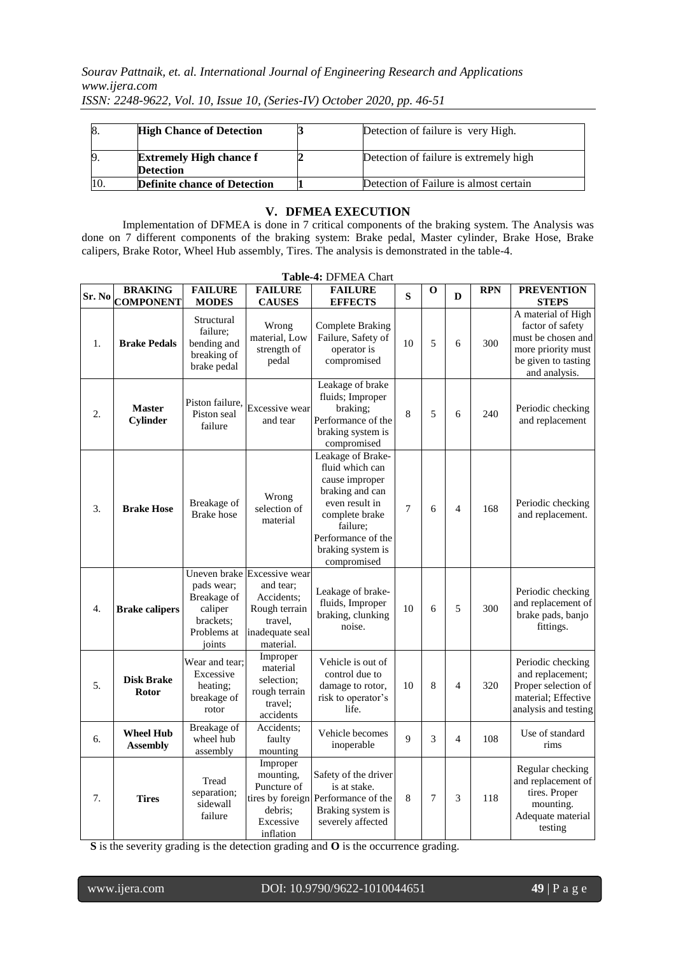| <sup>8.</sup> | <b>High Chance of Detection</b>     | Detection of failure is very High.     |
|---------------|-------------------------------------|----------------------------------------|
| 9             | <b>Extremely High chance f</b>      | Detection of failure is extremely high |
|               | <b>Detection</b>                    |                                        |
|               | <b>Definite chance of Detection</b> | Detection of Failure is almost certain |

#### **V. DFMEA EXECUTION**

Implementation of DFMEA is done in 7 critical components of the braking system. The Analysis was done on 7 different components of the braking system: Brake pedal, Master cylinder, Brake Hose, Brake calipers, Brake Rotor, Wheel Hub assembly, Tires. The analysis is demonstrated in the table-4.

| Table-4: DFMEA Chart |                                     |                                                                                     |                                                                                                                    |                                                                                                                                                                                     |    |                |                |            |                                                                                                                                            |
|----------------------|-------------------------------------|-------------------------------------------------------------------------------------|--------------------------------------------------------------------------------------------------------------------|-------------------------------------------------------------------------------------------------------------------------------------------------------------------------------------|----|----------------|----------------|------------|--------------------------------------------------------------------------------------------------------------------------------------------|
| Sr. No               | <b>BRAKING</b><br><b>COMPONENT</b>  | <b>FAILURE</b>                                                                      | <b>FAILURE</b>                                                                                                     | <b>FAILURE</b>                                                                                                                                                                      | S  | О              | D              | <b>RPN</b> | <b>PREVENTION</b>                                                                                                                          |
| 1.                   | <b>Brake Pedals</b>                 | <b>MODES</b><br>Structural<br>failure;<br>bending and<br>breaking of<br>brake pedal | <b>CAUSES</b><br>Wrong<br>material, Low<br>strength of<br>pedal                                                    | <b>EFFECTS</b><br>Complete Braking<br>Failure, Safety of<br>operator is<br>compromised                                                                                              | 10 | 5              | 6              | 300        | <b>STEPS</b><br>A material of High<br>factor of safety<br>must be chosen and<br>more priority must<br>be given to tasting<br>and analysis. |
| 2.                   | <b>Master</b><br>Cylinder           | Piston failure.<br>Piston seal<br>failure                                           | <b>Excessive</b> wear<br>and tear                                                                                  | Leakage of brake<br>fluids; Improper<br>braking;<br>Performance of the<br>braking system is<br>compromised                                                                          | 8  | 5              | 6              | 240        | Periodic checking<br>and replacement                                                                                                       |
| 3.                   | <b>Brake Hose</b>                   | Breakage of<br><b>Brake</b> hose                                                    | Wrong<br>selection of<br>material                                                                                  | Leakage of Brake-<br>fluid which can<br>cause improper<br>braking and can<br>even result in<br>complete brake<br>failure;<br>Performance of the<br>braking system is<br>compromised | 7  | 6              | $\overline{4}$ | 168        | Periodic checking<br>and replacement.                                                                                                      |
| 4.                   | <b>Brake calipers</b>               | pads wear;<br>Breakage of<br>caliper<br>brackets:<br>Problems at<br>joints          | Uneven brake Excessive wear<br>and tear;<br>Accidents;<br>Rough terrain<br>travel.<br>inadequate seal<br>material. | Leakage of brake-<br>fluids, Improper<br>braking, clunking<br>noise.                                                                                                                | 10 | $\sqrt{6}$     | 5              | 300        | Periodic checking<br>and replacement of<br>brake pads, banjo<br>fittings.                                                                  |
| 5.                   | <b>Disk Brake</b><br><b>Rotor</b>   | Wear and tear:<br>Excessive<br>heating;<br>breakage of<br>rotor                     | Improper<br>material<br>selection:<br>rough terrain<br>travel:<br>accidents                                        | Vehicle is out of<br>control due to<br>damage to rotor,<br>risk to operator's<br>life.                                                                                              | 10 | 8              | $\overline{4}$ | 320        | Periodic checking<br>and replacement;<br>Proper selection of<br>material; Effective<br>analysis and testing                                |
| 6.                   | <b>Wheel Hub</b><br><b>Assembly</b> | Breakage of<br>wheel hub<br>assembly                                                | Accidents;<br>faulty<br>mounting                                                                                   | Vehicle becomes<br>inoperable                                                                                                                                                       | 9  | 3              | $\overline{4}$ | 108        | Use of standard<br>rims                                                                                                                    |
| 7.                   | <b>Tires</b>                        | Tread<br>separation;<br>sidewall<br>failure                                         | Improper<br>mounting,<br>Puncture of<br>debris:<br>Excessive<br>inflation                                          | Safety of the driver<br>is at stake.<br>tires by foreign Performance of the<br>Braking system is<br>severely affected                                                               | 8  | $\overline{7}$ | 3              | 118        | Regular checking<br>and replacement of<br>tires. Proper<br>mounting.<br>Adequate material<br>testing                                       |

 **S** is the severity grading is the detection grading and **O** is the occurrence grading.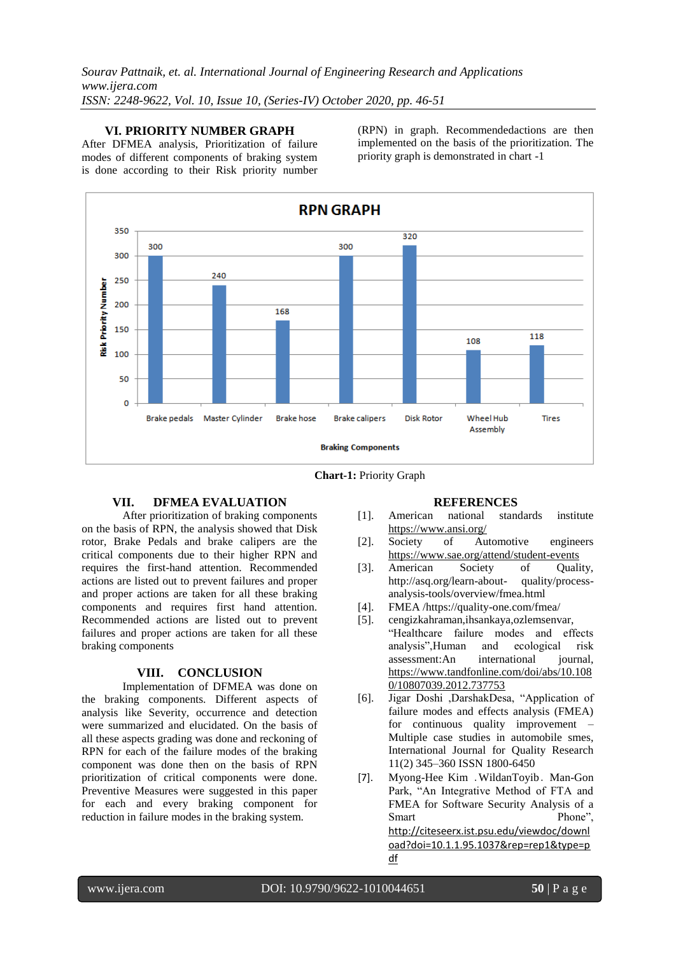**VI. PRIORITY NUMBER GRAPH**

After DFMEA analysis, Prioritization of failure modes of different components of braking system is done according to their Risk priority number

(RPN) in graph. Recommendedactions are then implemented on the basis of the prioritization. The priority graph is demonstrated in chart -1



 **Chart-1:** Priority Graph

# **VII. DFMEA EVALUATION**

After prioritization of braking components on the basis of RPN, the analysis showed that Disk rotor, Brake Pedals and brake calipers are the critical components due to their higher RPN and requires the first-hand attention. Recommended actions are listed out to prevent failures and proper and proper actions are taken for all these braking components and requires first hand attention. Recommended actions are listed out to prevent failures and proper actions are taken for all these braking components

#### **VIII. CONCLUSION**

Implementation of DFMEA was done on the braking components. Different aspects of analysis like Severity, occurrence and detection were summarized and elucidated. On the basis of all these aspects grading was done and reckoning of RPN for each of the failure modes of the braking component was done then on the basis of RPN prioritization of critical components were done. Preventive Measures were suggested in this paper for each and every braking component for reduction in failure modes in the braking system.

#### **REFERENCES**

- [1]. American national standards institute <https://www.ansi.org/><br>Society of Au
- [2]. Society of Automotive engineers <https://www.sae.org/attend/student-events>
- [3]. American Society of Quality, http://asq.org/learn-about- quality/processanalysis-tools/overview/fmea.html
- [4]. FMEA /https://quality-one.com/fmea/
- [5]. cengizkahraman,ihsankaya,ozlemsenvar, "Healthcare failure modes and effects analysis",Human and ecological risk assessment:An international journal, [https://www.tandfonline.com/doi/abs/10.108](https://www.tandfonline.com/doi/abs/10.1080/10807039.2012.737753) [0/10807039.2012.737753](https://www.tandfonline.com/doi/abs/10.1080/10807039.2012.737753)
- [6]. Jigar Doshi ,DarshakDesa, "Application of failure modes and effects analysis (FMEA) for continuous quality improvement – Multiple case studies in automobile smes, International Journal for Quality Research 11(2) 345–360 ISSN 1800-6450
- [7]. Myong-Hee Kim ․WildanToyib․ Man-Gon Park, "An Integrative Method of FTA and FMEA for Software Security Analysis of a Smart Phone", [http://citeseerx.ist.psu.edu/viewdoc/downl](http://citeseerx.ist.psu.edu/viewdoc/download?doi=10.1.1.95.1037&rep=rep1&type=pdf) [oad?doi=10.1.1.95.1037&rep=rep1&type=p](http://citeseerx.ist.psu.edu/viewdoc/download?doi=10.1.1.95.1037&rep=rep1&type=pdf) [df](http://citeseerx.ist.psu.edu/viewdoc/download?doi=10.1.1.95.1037&rep=rep1&type=pdf)